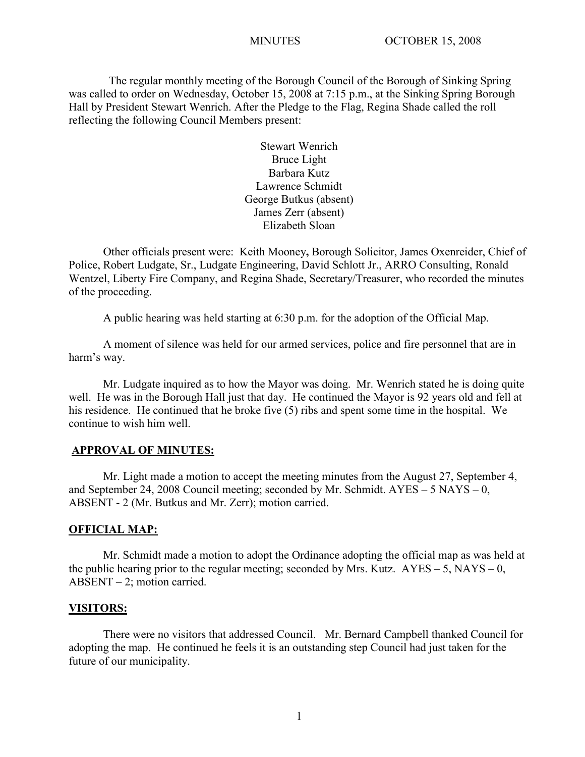The regular monthly meeting of the Borough Council of the Borough of Sinking Spring was called to order on Wednesday, October 15, 2008 at 7:15 p.m., at the Sinking Spring Borough Hall by President Stewart Wenrich. After the Pledge to the Flag, Regina Shade called the roll reflecting the following Council Members present:

> Stewart Wenrich Bruce Light Barbara Kutz Lawrence Schmidt George Butkus (absent) James Zerr (absent) Elizabeth Sloan

Other officials present were: Keith Mooney**,** Borough Solicitor, James Oxenreider, Chief of Police, Robert Ludgate, Sr., Ludgate Engineering, David Schlott Jr., ARRO Consulting, Ronald Wentzel, Liberty Fire Company, and Regina Shade, Secretary/Treasurer, who recorded the minutes of the proceeding.

A public hearing was held starting at 6:30 p.m. for the adoption of the Official Map.

A moment of silence was held for our armed services, police and fire personnel that are in harm's way.

Mr. Ludgate inquired as to how the Mayor was doing. Mr. Wenrich stated he is doing quite well. He was in the Borough Hall just that day. He continued the Mayor is 92 years old and fell at his residence. He continued that he broke five (5) ribs and spent some time in the hospital. We continue to wish him well.

#### **APPROVAL OF MINUTES:**

Mr. Light made a motion to accept the meeting minutes from the August 27, September 4, and September 24, 2008 Council meeting; seconded by Mr. Schmidt. AYES – 5 NAYS – 0, ABSENT - 2 (Mr. Butkus and Mr. Zerr); motion carried.

#### **OFFICIAL MAP:**

Mr. Schmidt made a motion to adopt the Ordinance adopting the official map as was held at the public hearing prior to the regular meeting; seconded by Mrs. Kutz.  $AYES - 5$ , NAYS – 0, ABSENT – 2; motion carried.

#### **VISITORS:**

There were no visitors that addressed Council. Mr. Bernard Campbell thanked Council for adopting the map. He continued he feels it is an outstanding step Council had just taken for the future of our municipality.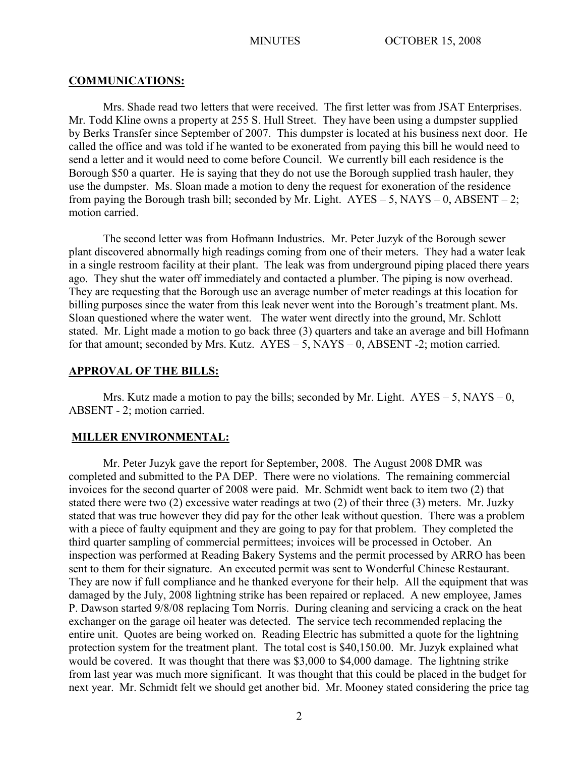#### **COMMUNICATIONS:**

Mrs. Shade read two letters that were received. The first letter was from JSAT Enterprises. Mr. Todd Kline owns a property at 255 S. Hull Street. They have been using a dumpster supplied by Berks Transfer since September of 2007. This dumpster is located at his business next door. He called the office and was told if he wanted to be exonerated from paying this bill he would need to send a letter and it would need to come before Council. We currently bill each residence is the Borough \$50 a quarter. He is saying that they do not use the Borough supplied trash hauler, they use the dumpster. Ms. Sloan made a motion to deny the request for exoneration of the residence from paying the Borough trash bill; seconded by Mr. Light.  $AYES - 5$ ,  $NAYS - 0$ ,  $ABSENT - 2$ ; motion carried.

The second letter was from Hofmann Industries. Mr. Peter Juzyk of the Borough sewer plant discovered abnormally high readings coming from one of their meters. They had a water leak in a single restroom facility at their plant. The leak was from underground piping placed there years ago. They shut the water off immediately and contacted a plumber. The piping is now overhead. They are requesting that the Borough use an average number of meter readings at this location for billing purposes since the water from this leak never went into the Borough's treatment plant. Ms. Sloan questioned where the water went. The water went directly into the ground, Mr. Schlott stated. Mr. Light made a motion to go back three (3) quarters and take an average and bill Hofmann for that amount; seconded by Mrs. Kutz. AYES – 5, NAYS – 0, ABSENT -2; motion carried.

#### **APPROVAL OF THE BILLS:**

Mrs. Kutz made a motion to pay the bills; seconded by Mr. Light.  $AYES - 5$ ,  $NAYS - 0$ , ABSENT - 2; motion carried.

#### **MILLER ENVIRONMENTAL:**

Mr. Peter Juzyk gave the report for September, 2008. The August 2008 DMR was completed and submitted to the PA DEP. There were no violations. The remaining commercial invoices for the second quarter of 2008 were paid. Mr. Schmidt went back to item two (2) that stated there were two (2) excessive water readings at two (2) of their three (3) meters. Mr. Juzky stated that was true however they did pay for the other leak without question. There was a problem with a piece of faulty equipment and they are going to pay for that problem. They completed the third quarter sampling of commercial permittees; invoices will be processed in October. An inspection was performed at Reading Bakery Systems and the permit processed by ARRO has been sent to them for their signature. An executed permit was sent to Wonderful Chinese Restaurant. They are now if full compliance and he thanked everyone for their help. All the equipment that was damaged by the July, 2008 lightning strike has been repaired or replaced. A new employee, James P. Dawson started 9/8/08 replacing Tom Norris. During cleaning and servicing a crack on the heat exchanger on the garage oil heater was detected. The service tech recommended replacing the entire unit. Quotes are being worked on. Reading Electric has submitted a quote for the lightning protection system for the treatment plant. The total cost is \$40,150.00. Mr. Juzyk explained what would be covered. It was thought that there was \$3,000 to \$4,000 damage. The lightning strike from last year was much more significant. It was thought that this could be placed in the budget for next year. Mr. Schmidt felt we should get another bid. Mr. Mooney stated considering the price tag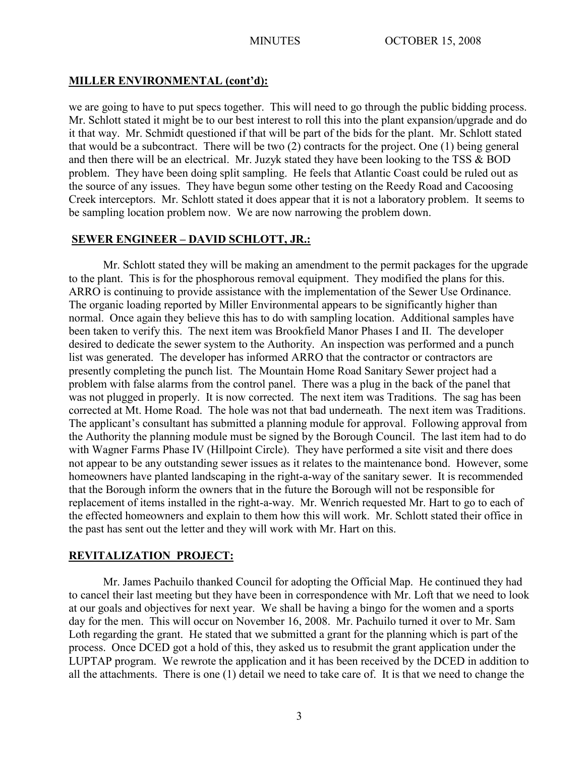# **MILLER ENVIRONMENTAL (cont'd):**

we are going to have to put specs together. This will need to go through the public bidding process. Mr. Schlott stated it might be to our best interest to roll this into the plant expansion/upgrade and do it that way. Mr. Schmidt questioned if that will be part of the bids for the plant. Mr. Schlott stated that would be a subcontract. There will be two (2) contracts for the project. One (1) being general and then there will be an electrical. Mr. Juzyk stated they have been looking to the TSS & BOD problem. They have been doing split sampling. He feels that Atlantic Coast could be ruled out as the source of any issues. They have begun some other testing on the Reedy Road and Cacoosing Creek interceptors. Mr. Schlott stated it does appear that it is not a laboratory problem. It seems to be sampling location problem now. We are now narrowing the problem down.

# **SEWER ENGINEER – DAVID SCHLOTT, JR.:**

Mr. Schlott stated they will be making an amendment to the permit packages for the upgrade to the plant. This is for the phosphorous removal equipment. They modified the plans for this. ARRO is continuing to provide assistance with the implementation of the Sewer Use Ordinance. The organic loading reported by Miller Environmental appears to be significantly higher than normal. Once again they believe this has to do with sampling location. Additional samples have been taken to verify this. The next item was Brookfield Manor Phases I and II. The developer desired to dedicate the sewer system to the Authority. An inspection was performed and a punch list was generated. The developer has informed ARRO that the contractor or contractors are presently completing the punch list. The Mountain Home Road Sanitary Sewer project had a problem with false alarms from the control panel. There was a plug in the back of the panel that was not plugged in properly. It is now corrected. The next item was Traditions. The sag has been corrected at Mt. Home Road. The hole was not that bad underneath. The next item was Traditions. The applicant's consultant has submitted a planning module for approval. Following approval from the Authority the planning module must be signed by the Borough Council. The last item had to do with Wagner Farms Phase IV (Hillpoint Circle). They have performed a site visit and there does not appear to be any outstanding sewer issues as it relates to the maintenance bond. However, some homeowners have planted landscaping in the right-a-way of the sanitary sewer. It is recommended that the Borough inform the owners that in the future the Borough will not be responsible for replacement of items installed in the right-a-way. Mr. Wenrich requested Mr. Hart to go to each of the effected homeowners and explain to them how this will work. Mr. Schlott stated their office in the past has sent out the letter and they will work with Mr. Hart on this.

# **REVITALIZATION PROJECT:**

Mr. James Pachuilo thanked Council for adopting the Official Map. He continued they had to cancel their last meeting but they have been in correspondence with Mr. Loft that we need to look at our goals and objectives for next year. We shall be having a bingo for the women and a sports day for the men. This will occur on November 16, 2008. Mr. Pachuilo turned it over to Mr. Sam Loth regarding the grant. He stated that we submitted a grant for the planning which is part of the process. Once DCED got a hold of this, they asked us to resubmit the grant application under the LUPTAP program. We rewrote the application and it has been received by the DCED in addition to all the attachments. There is one (1) detail we need to take care of. It is that we need to change the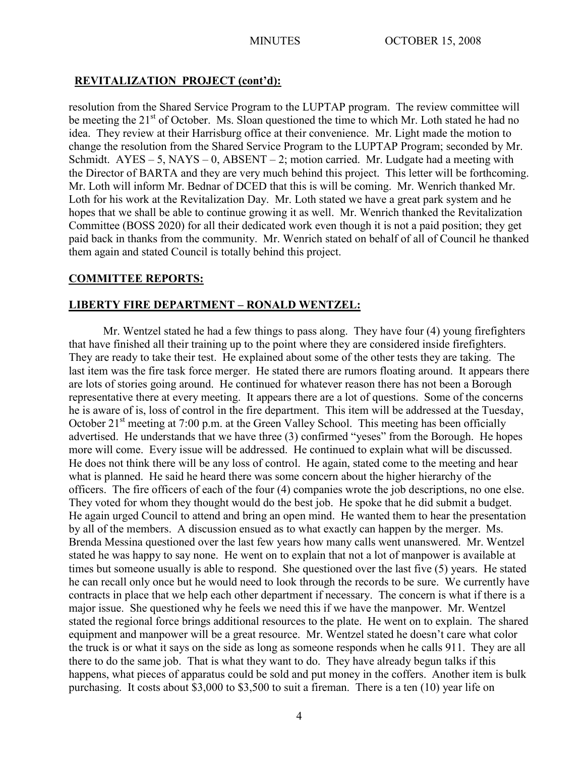# **REVITALIZATION PROJECT (cont'd):**

resolution from the Shared Service Program to the LUPTAP program. The review committee will be meeting the 21<sup>st</sup> of October. Ms. Sloan questioned the time to which Mr. Loth stated he had no idea. They review at their Harrisburg office at their convenience. Mr. Light made the motion to change the resolution from the Shared Service Program to the LUPTAP Program; seconded by Mr. Schmidt.  $AYES - 5$ ,  $NAYS - 0$ ,  $ABSENT - 2$ ; motion carried. Mr. Ludgate had a meeting with the Director of BARTA and they are very much behind this project. This letter will be forthcoming. Mr. Loth will inform Mr. Bednar of DCED that this is will be coming. Mr. Wenrich thanked Mr. Loth for his work at the Revitalization Day. Mr. Loth stated we have a great park system and he hopes that we shall be able to continue growing it as well. Mr. Wenrich thanked the Revitalization Committee (BOSS 2020) for all their dedicated work even though it is not a paid position; they get paid back in thanks from the community. Mr. Wenrich stated on behalf of all of Council he thanked them again and stated Council is totally behind this project.

# **COMMITTEE REPORTS:**

## **LIBERTY FIRE DEPARTMENT – RONALD WENTZEL:**

Mr. Wentzel stated he had a few things to pass along. They have four (4) young firefighters that have finished all their training up to the point where they are considered inside firefighters. They are ready to take their test. He explained about some of the other tests they are taking. The last item was the fire task force merger. He stated there are rumors floating around. It appears there are lots of stories going around. He continued for whatever reason there has not been a Borough representative there at every meeting. It appears there are a lot of questions. Some of the concerns he is aware of is, loss of control in the fire department. This item will be addressed at the Tuesday, October  $21<sup>st</sup>$  meeting at 7:00 p.m. at the Green Valley School. This meeting has been officially advertised. He understands that we have three (3) confirmed "yeses" from the Borough. He hopes more will come. Every issue will be addressed. He continued to explain what will be discussed. He does not think there will be any loss of control. He again, stated come to the meeting and hear what is planned. He said he heard there was some concern about the higher hierarchy of the officers. The fire officers of each of the four (4) companies wrote the job descriptions, no one else. They voted for whom they thought would do the best job. He spoke that he did submit a budget. He again urged Council to attend and bring an open mind. He wanted them to hear the presentation by all of the members. A discussion ensued as to what exactly can happen by the merger. Ms. Brenda Messina questioned over the last few years how many calls went unanswered. Mr. Wentzel stated he was happy to say none. He went on to explain that not a lot of manpower is available at times but someone usually is able to respond. She questioned over the last five (5) years. He stated he can recall only once but he would need to look through the records to be sure. We currently have contracts in place that we help each other department if necessary. The concern is what if there is a major issue. She questioned why he feels we need this if we have the manpower. Mr. Wentzel stated the regional force brings additional resources to the plate. He went on to explain. The shared equipment and manpower will be a great resource. Mr. Wentzel stated he doesn't care what color the truck is or what it says on the side as long as someone responds when he calls 911. They are all there to do the same job. That is what they want to do. They have already begun talks if this happens, what pieces of apparatus could be sold and put money in the coffers. Another item is bulk purchasing. It costs about \$3,000 to \$3,500 to suit a fireman. There is a ten (10) year life on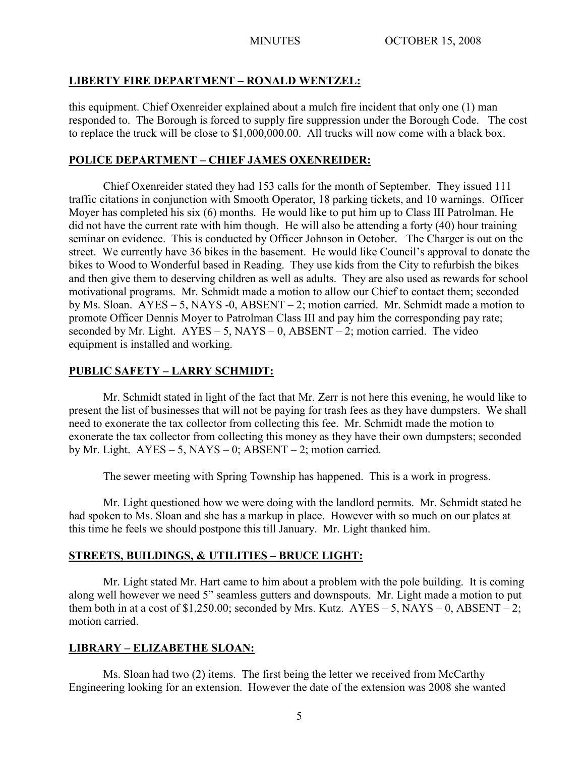#### **LIBERTY FIRE DEPARTMENT – RONALD WENTZEL:**

this equipment. Chief Oxenreider explained about a mulch fire incident that only one (1) man responded to. The Borough is forced to supply fire suppression under the Borough Code. The cost to replace the truck will be close to \$1,000,000.00. All trucks will now come with a black box.

#### **POLICE DEPARTMENT – CHIEF JAMES OXENREIDER:**

Chief Oxenreider stated they had 153 calls for the month of September. They issued 111 traffic citations in conjunction with Smooth Operator, 18 parking tickets, and 10 warnings. Officer Moyer has completed his six (6) months. He would like to put him up to Class III Patrolman. He did not have the current rate with him though. He will also be attending a forty (40) hour training seminar on evidence. This is conducted by Officer Johnson in October. The Charger is out on the street. We currently have 36 bikes in the basement. He would like Council's approval to donate the bikes to Wood to Wonderful based in Reading. They use kids from the City to refurbish the bikes and then give them to deserving children as well as adults. They are also used as rewards for school motivational programs. Mr. Schmidt made a motion to allow our Chief to contact them; seconded by Ms. Sloan.  $AYES - 5$ , NAYS -0, ABSENT – 2; motion carried. Mr. Schmidt made a motion to promote Officer Dennis Moyer to Patrolman Class III and pay him the corresponding pay rate; seconded by Mr. Light.  $AYES - 5$ ,  $NAYS - 0$ ,  $ABSENT - 2$ ; motion carried. The video equipment is installed and working.

## **PUBLIC SAFETY – LARRY SCHMIDT:**

Mr. Schmidt stated in light of the fact that Mr. Zerr is not here this evening, he would like to present the list of businesses that will not be paying for trash fees as they have dumpsters. We shall need to exonerate the tax collector from collecting this fee. Mr. Schmidt made the motion to exonerate the tax collector from collecting this money as they have their own dumpsters; seconded by Mr. Light.  $AYES - 5$ ,  $NAYS - 0$ ;  $ABSENT - 2$ ; motion carried.

The sewer meeting with Spring Township has happened. This is a work in progress.

Mr. Light questioned how we were doing with the landlord permits. Mr. Schmidt stated he had spoken to Ms. Sloan and she has a markup in place. However with so much on our plates at this time he feels we should postpone this till January. Mr. Light thanked him.

# **STREETS, BUILDINGS, & UTILITIES – BRUCE LIGHT:**

Mr. Light stated Mr. Hart came to him about a problem with the pole building. It is coming along well however we need 5" seamless gutters and downspouts. Mr. Light made a motion to put them both in at a cost of \$1,250.00; seconded by Mrs. Kutz.  $AYES - 5$ , NAYS – 0, ABSENT – 2; motion carried.

#### **LIBRARY – ELIZABETHE SLOAN:**

Ms. Sloan had two (2) items. The first being the letter we received from McCarthy Engineering looking for an extension. However the date of the extension was 2008 she wanted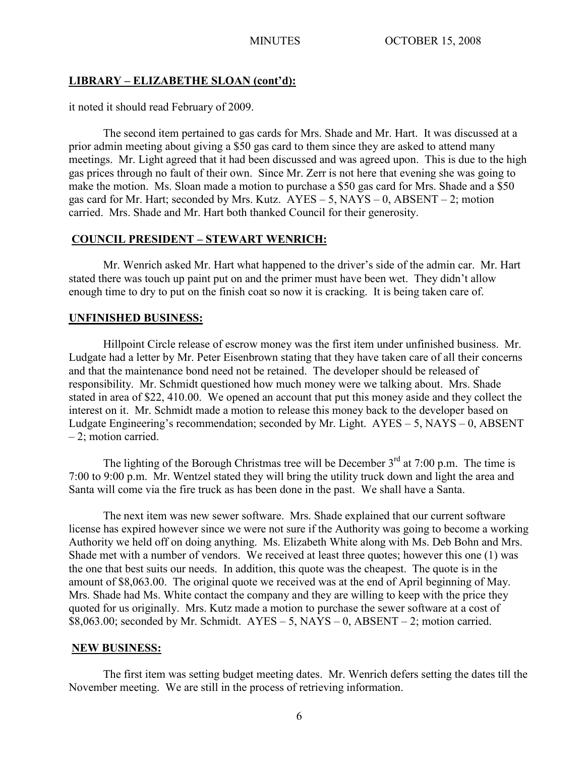# **LIBRARY – ELIZABETHE SLOAN (cont'd):**

it noted it should read February of 2009.

The second item pertained to gas cards for Mrs. Shade and Mr. Hart. It was discussed at a prior admin meeting about giving a \$50 gas card to them since they are asked to attend many meetings. Mr. Light agreed that it had been discussed and was agreed upon. This is due to the high gas prices through no fault of their own. Since Mr. Zerr is not here that evening she was going to make the motion. Ms. Sloan made a motion to purchase a \$50 gas card for Mrs. Shade and a \$50 gas card for Mr. Hart; seconded by Mrs. Kutz.  $AYES - 5$ ,  $NAYS - 0$ ,  $ABSENT - 2$ ; motion carried. Mrs. Shade and Mr. Hart both thanked Council for their generosity.

## **COUNCIL PRESIDENT – STEWART WENRICH:**

Mr. Wenrich asked Mr. Hart what happened to the driver's side of the admin car. Mr. Hart stated there was touch up paint put on and the primer must have been wet. They didn't allow enough time to dry to put on the finish coat so now it is cracking. It is being taken care of.

## **UNFINISHED BUSINESS:**

Hillpoint Circle release of escrow money was the first item under unfinished business. Mr. Ludgate had a letter by Mr. Peter Eisenbrown stating that they have taken care of all their concerns and that the maintenance bond need not be retained. The developer should be released of responsibility. Mr. Schmidt questioned how much money were we talking about. Mrs. Shade stated in area of \$22, 410.00. We opened an account that put this money aside and they collect the interest on it. Mr. Schmidt made a motion to release this money back to the developer based on Ludgate Engineering's recommendation; seconded by Mr. Light. AYES – 5, NAYS – 0, ABSENT – 2; motion carried.

The lighting of the Borough Christmas tree will be December  $3<sup>rd</sup>$  at 7:00 p.m. The time is 7:00 to 9:00 p.m. Mr. Wentzel stated they will bring the utility truck down and light the area and Santa will come via the fire truck as has been done in the past. We shall have a Santa.

The next item was new sewer software. Mrs. Shade explained that our current software license has expired however since we were not sure if the Authority was going to become a working Authority we held off on doing anything. Ms. Elizabeth White along with Ms. Deb Bohn and Mrs. Shade met with a number of vendors. We received at least three quotes; however this one (1) was the one that best suits our needs. In addition, this quote was the cheapest. The quote is in the amount of \$8,063.00. The original quote we received was at the end of April beginning of May. Mrs. Shade had Ms. White contact the company and they are willing to keep with the price they quoted for us originally. Mrs. Kutz made a motion to purchase the sewer software at a cost of  $$8,063.00$ ; seconded by Mr. Schmidt.  $AYES - 5$ ,  $NAYS - 0$ ,  $ABSENT - 2$ ; motion carried.

#### **NEW BUSINESS:**

The first item was setting budget meeting dates. Mr. Wenrich defers setting the dates till the November meeting. We are still in the process of retrieving information.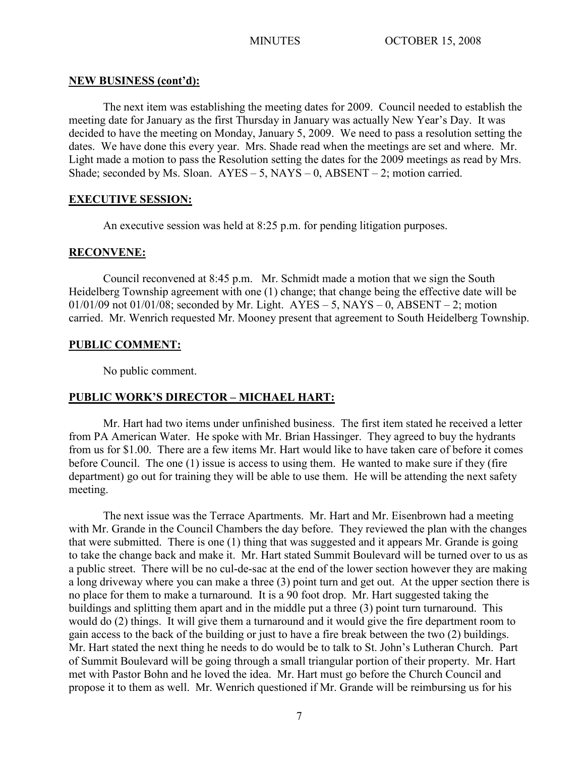#### **NEW BUSINESS (cont'd):**

The next item was establishing the meeting dates for 2009. Council needed to establish the meeting date for January as the first Thursday in January was actually New Year's Day. It was decided to have the meeting on Monday, January 5, 2009. We need to pass a resolution setting the dates. We have done this every year. Mrs. Shade read when the meetings are set and where. Mr. Light made a motion to pass the Resolution setting the dates for the 2009 meetings as read by Mrs. Shade; seconded by Ms. Sloan.  $AYES - 5$ ,  $NAYS - 0$ ,  $ABSENT - 2$ ; motion carried.

## **EXECUTIVE SESSION:**

An executive session was held at 8:25 p.m. for pending litigation purposes.

## **RECONVENE:**

Council reconvened at 8:45 p.m. Mr. Schmidt made a motion that we sign the South Heidelberg Township agreement with one (1) change; that change being the effective date will be  $01/01/09$  not  $01/01/08$ ; seconded by Mr. Light.  $AYES - 5$ , NAYS – 0, ABSENT – 2; motion carried. Mr. Wenrich requested Mr. Mooney present that agreement to South Heidelberg Township.

## **PUBLIC COMMENT:**

No public comment.

# **PUBLIC WORK'S DIRECTOR – MICHAEL HART:**

Mr. Hart had two items under unfinished business. The first item stated he received a letter from PA American Water. He spoke with Mr. Brian Hassinger. They agreed to buy the hydrants from us for \$1.00. There are a few items Mr. Hart would like to have taken care of before it comes before Council. The one (1) issue is access to using them. He wanted to make sure if they (fire department) go out for training they will be able to use them. He will be attending the next safety meeting.

 The next issue was the Terrace Apartments. Mr. Hart and Mr. Eisenbrown had a meeting with Mr. Grande in the Council Chambers the day before. They reviewed the plan with the changes that were submitted. There is one (1) thing that was suggested and it appears Mr. Grande is going to take the change back and make it. Mr. Hart stated Summit Boulevard will be turned over to us as a public street. There will be no cul-de-sac at the end of the lower section however they are making a long driveway where you can make a three (3) point turn and get out. At the upper section there is no place for them to make a turnaround. It is a 90 foot drop. Mr. Hart suggested taking the buildings and splitting them apart and in the middle put a three (3) point turn turnaround. This would do (2) things. It will give them a turnaround and it would give the fire department room to gain access to the back of the building or just to have a fire break between the two (2) buildings. Mr. Hart stated the next thing he needs to do would be to talk to St. John's Lutheran Church. Part of Summit Boulevard will be going through a small triangular portion of their property. Mr. Hart met with Pastor Bohn and he loved the idea. Mr. Hart must go before the Church Council and propose it to them as well. Mr. Wenrich questioned if Mr. Grande will be reimbursing us for his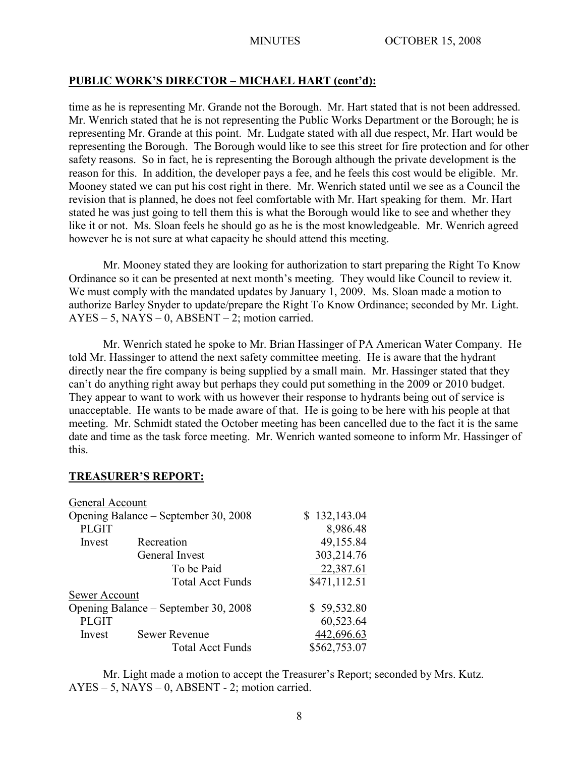#### **PUBLIC WORK'S DIRECTOR – MICHAEL HART (cont'd):**

time as he is representing Mr. Grande not the Borough. Mr. Hart stated that is not been addressed. Mr. Wenrich stated that he is not representing the Public Works Department or the Borough; he is representing Mr. Grande at this point. Mr. Ludgate stated with all due respect, Mr. Hart would be representing the Borough. The Borough would like to see this street for fire protection and for other safety reasons. So in fact, he is representing the Borough although the private development is the reason for this. In addition, the developer pays a fee, and he feels this cost would be eligible. Mr. Mooney stated we can put his cost right in there. Mr. Wenrich stated until we see as a Council the revision that is planned, he does not feel comfortable with Mr. Hart speaking for them. Mr. Hart stated he was just going to tell them this is what the Borough would like to see and whether they like it or not. Ms. Sloan feels he should go as he is the most knowledgeable. Mr. Wenrich agreed however he is not sure at what capacity he should attend this meeting.

Mr. Mooney stated they are looking for authorization to start preparing the Right To Know Ordinance so it can be presented at next month's meeting. They would like Council to review it. We must comply with the mandated updates by January 1, 2009. Ms. Sloan made a motion to authorize Barley Snyder to update/prepare the Right To Know Ordinance; seconded by Mr. Light.  $AYES - 5$ ,  $NAYS - 0$ ,  $ABSENT - 2$ ; motion carried.

Mr. Wenrich stated he spoke to Mr. Brian Hassinger of PA American Water Company. He told Mr. Hassinger to attend the next safety committee meeting. He is aware that the hydrant directly near the fire company is being supplied by a small main. Mr. Hassinger stated that they can't do anything right away but perhaps they could put something in the 2009 or 2010 budget. They appear to want to work with us however their response to hydrants being out of service is unacceptable. He wants to be made aware of that. He is going to be here with his people at that meeting. Mr. Schmidt stated the October meeting has been cancelled due to the fact it is the same date and time as the task force meeting. Mr. Wenrich wanted someone to inform Mr. Hassinger of this.

#### **TREASURER'S REPORT:**

| General Account                      |                         |              |
|--------------------------------------|-------------------------|--------------|
| Opening Balance – September 30, 2008 |                         | \$132,143.04 |
| <b>PLGIT</b>                         |                         | 8,986.48     |
| Invest                               | Recreation              | 49,155.84    |
|                                      | General Invest          | 303,214.76   |
|                                      | To be Paid              | 22,387.61    |
|                                      | <b>Total Acct Funds</b> | \$471,112.51 |
| Sewer Account                        |                         |              |
| Opening Balance – September 30, 2008 |                         | \$59,532.80  |
| <b>PLGIT</b>                         |                         | 60,523.64    |
| Invest                               | <b>Sewer Revenue</b>    | 442,696.63   |
|                                      | <b>Total Acct Funds</b> | \$562,753.07 |

Mr. Light made a motion to accept the Treasurer's Report; seconded by Mrs. Kutz. AYES – 5, NAYS – 0, ABSENT - 2; motion carried.